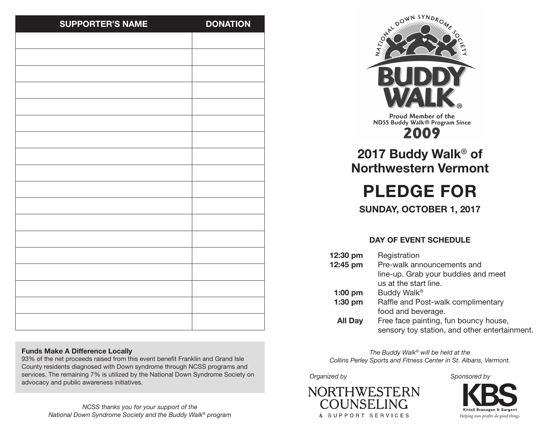| <b>SUPPORTER'S NAME</b> | <b>DONATION</b> |
|-------------------------|-----------------|
|                         |                 |
|                         |                 |
|                         |                 |
|                         |                 |
|                         |                 |
|                         |                 |
|                         |                 |
|                         |                 |
|                         |                 |
|                         |                 |
|                         |                 |
|                         |                 |
|                         |                 |
|                         |                 |
|                         |                 |
|                         |                 |
|                         |                 |
|                         |                 |
|                         |                 |

### **Funds Make A Difference Locally**

93% of the net proceeds raised from this event benefit Franklin and Grand Isle County residents diagnosed with Down syndrome through NCSS programs and services. The remaining 7% is utilized by the National Down Syndrome Society on advocacy and public awareness initiatives.



**Proud Member of the NDSS Buddy Walk® Program Since** 2009

**2017 Buddy Walk**® **of Northwestern Vermont**

**PLEDGE FOR**

**SUNDAY, OCTOBER 1, 2017**

# **DAY OF EVENT SCHEDULE**

**12:30 pm** Registration **12:45 pm** Pre-walk announcements and line-up. Grab your buddies and meet us at the start line. **1:00 pm** Buddy Walk® **1:30 pm** Raffle and Post-walk complimentary food and beverage. **All Day** Free face painting, fun bouncy house, sensory toy station, and other entertainment.

*The Buddy Walk® will be held at the Collins Perley Sports and Fitness Center in St. Albans, Vermont.*

#### *Organized by*



*Sponsored by*